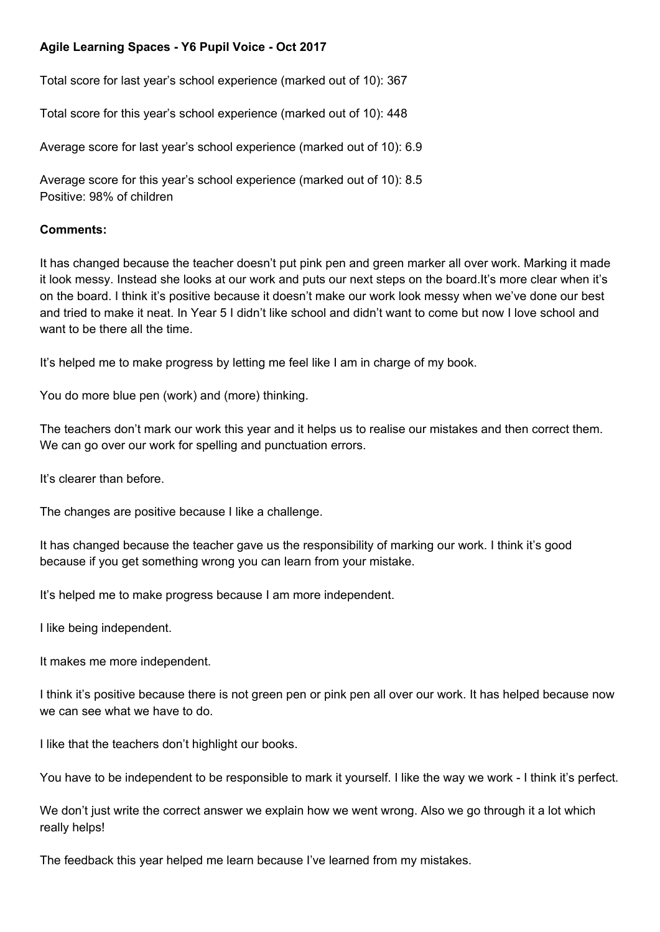## **Agile Learning Spaces - Y6 Pupil Voice - Oct 2017**

Total score for last year's school experience (marked out of 10): 367

Total score for this year's school experience (marked out of 10): 448

Average score for last year's school experience (marked out of 10): 6.9

Average score for this year's school experience (marked out of 10): 8.5 Positive: 98% of children

## **Comments:**

It has changed because the teacher doesn't put pink pen and green marker all over work. Marking it made it look messy. Instead she looks at our work and puts our next steps on the board.It's more clear when it's on the board. I think it's positive because it doesn't make our work look messy when we've done our best and tried to make it neat. In Year 5 I didn't like school and didn't want to come but now I love school and want to be there all the time.

It's helped me to make progress by letting me feel like I am in charge of my book.

You do more blue pen (work) and (more) thinking.

The teachers don't mark our work this year and it helps us to realise our mistakes and then correct them. We can go over our work for spelling and punctuation errors.

It's clearer than before.

The changes are positive because I like a challenge.

It has changed because the teacher gave us the responsibility of marking our work. I think it's good because if you get something wrong you can learn from your mistake.

It's helped me to make progress because I am more independent.

I like being independent.

It makes me more independent.

I think it's positive because there is not green pen or pink pen all over our work. It has helped because now we can see what we have to do.

I like that the teachers don't highlight our books.

You have to be independent to be responsible to mark it yourself. I like the way we work - I think it's perfect.

We don't just write the correct answer we explain how we went wrong. Also we go through it a lot which really helps!

The feedback this year helped me learn because I've learned from my mistakes.